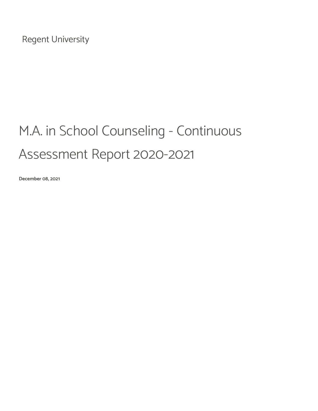Regent University

# M.A. in School Counseling - Continuous Assessment Report 2020-2021

December 08, 2021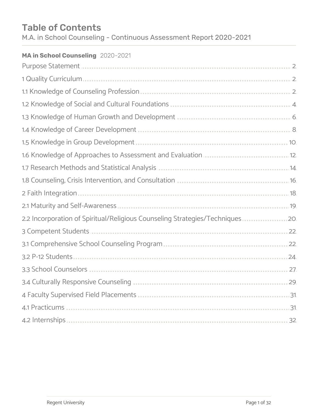# Table of Contents

M.A. in School Counseling - Continuous Assessment Report 2020-2021

## MA in School Counseling 2020-2021

| 1 Quality Curriculum                                                                                                                                                                                                                |  |
|-------------------------------------------------------------------------------------------------------------------------------------------------------------------------------------------------------------------------------------|--|
|                                                                                                                                                                                                                                     |  |
|                                                                                                                                                                                                                                     |  |
|                                                                                                                                                                                                                                     |  |
|                                                                                                                                                                                                                                     |  |
|                                                                                                                                                                                                                                     |  |
| 1.6 Knowledge of Approaches to Assessment and Evaluation <b>State of Approaches</b> 12.                                                                                                                                             |  |
| 1.7 Research Methods and Statistical Analysis <b>Analysis</b> 2008 12:00 12:00 14:00 14:00 14:00 14:00 14:00 14:00 14:00 14:00 14:00 14:00 14:00 14:00 14:00 14:00 14:00 14:00 14:00 14:00 14:00 14:00 15:00 16:00 16:00 16:00 16:0 |  |
| 1.8 Counseling, Crisis Intervention, and Consultation <b>Manual Access 2.6</b> 16.                                                                                                                                                  |  |
|                                                                                                                                                                                                                                     |  |
| 2.1 Maturity and Self-Awareness <b>State and Self-Awareness</b> 19                                                                                                                                                                  |  |
| 2.2 Incorporation of Spiritual/Religious Counseling Strategies/Techniques                                                                                                                                                           |  |
| 3 Competent Students 3 minimum minimum minimum minimum minimum minimum 22                                                                                                                                                           |  |
|                                                                                                                                                                                                                                     |  |
|                                                                                                                                                                                                                                     |  |
|                                                                                                                                                                                                                                     |  |
|                                                                                                                                                                                                                                     |  |
|                                                                                                                                                                                                                                     |  |
|                                                                                                                                                                                                                                     |  |
|                                                                                                                                                                                                                                     |  |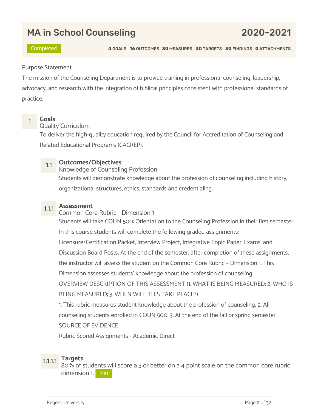# MA in School Counseling 2020-2021

Completed 4 GOALS 16 OUTCOMES 30 MEASURES 30 TARGETS 30 FINDINGS 0 ATTACHMENTS

### Purpose Statement

The mission of the Counseling Department is to provide training in professional counseling, leadership, advocacy, and research with the integration of biblical principles consistent with professional standards of practice.



# <mark>1 Goals</mark><br>1 Quality Curriculum

To deliver the high-quality education required by the Council for Accreditation of Counseling and Related Educational Programs (CACREP).

1.1 Outcomes/Objectives<br>Knowledge of Counseling Profession

Students will demonstrate knowledge about the profession of counseling including history, organizational structures, ethics, standards and credentialing.

1.1.1 **Assessment**<br>Common Core Rubric - Dimension 1 Students will take COUN 500: Orientation to the Counseling Profession in their first semester. In this course students will complete the following graded assignments: Licensure/Certification Packet, Interview Project, Integrative Topic Paper, Exams, and Discussion Board Posts. At the end of the semester, after completion of these assignments, the instructor will assess the student on the Common Core Rubric – Dimension 1. This Dimension assesses students' knowledge about the profession of counseling. OVERVIEW DESCRIPTION OF THIS ASSESSMENT (1. WHAT IS BEING MEASURED; 2. WHO IS BEING MEASURED; 3. WHEN WILL THIS TAKE PLACE?) 1. This rubric measures student knowledge about the profession of counseling. 2. All

counseling students enrolled in COUN 500. 3. At the end of the fall or spring semester.

SOURCE OF EVIDENCE

Rubric Scored Assignments - Academic Direct

1.1.1.1 Targets 80% of students will score a 3 or better on a 4 point scale on the common core rubric dimension 1. Met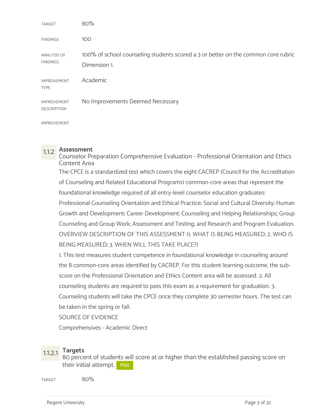| <b>TARGET</b>                            | 80%                                                                                               |
|------------------------------------------|---------------------------------------------------------------------------------------------------|
| <b>FINDINGS</b>                          | 100                                                                                               |
| ANALYSIS OF<br><b>FINDINGS</b>           | 100% of school counseling students scored a 3 or better on the common core rubric<br>Dimension 1. |
| <b>IMPROVEMENT</b><br><b>TYPE</b>        | Academic                                                                                          |
| <b>IMPROVEMENT</b><br><b>DESCRIPTION</b> | No Improvements Deemed Necessary                                                                  |
| <b>IMPROVEMENT</b>                       |                                                                                                   |

1.1.2 Assessment Counselor Preparation Comprehensive Evaluation - Professional Orientation and Ethics Content Area The CPCE is a standardized test which covers the eight CACREP (Council for the Accreditation of Counseling and Related Educational Programs) common-core areas that represent the foundational knowledge required of all entry-level counselor education graduates: Professional Counseling Orientation and Ethical Practice; Social and Cultural Diversity; Human Growth and Development; Career Development; Counseling and Helping Relationships; Group Counseling and Group Work; Assessment and Testing; and Research and Program Evaluation. OVERVIEW DESCRIPTION OF THIS ASSESSMENT (1. WHAT IS BEING MEASURED; 2. WHO IS BEING MEASURED; 3. WHEN WILL THIS TAKE PLACE?)

1. This test measures student competence in foundational knowledge in counseling around the 8 common-core areas identified by CACREP. For this student learning outcome, the subscore on the Professional Orientation and Ethics Content area will be assessed. 2. All counseling students are required to pass this exam as a requirement for graduation. 3. Counseling students will take the CPCE once they complete 30 semester hours. The test can be taken in the spring or fall.

SOURCE OF EVIDENCE

Comprehensives - Academic Direct

1.1.2.1 Targets<br>80 percent of students will score at or higher than the established passing score on their initial attempt. Met

 $\mu_{\rm{R1}}$  and  $\mu_{\rm{S0}}$  and  $\mu_{\rm{S0}}$  and  $\mu_{\rm{S1}}$  and  $\mu_{\rm{S1}}$  and  $\mu_{\rm{S1}}$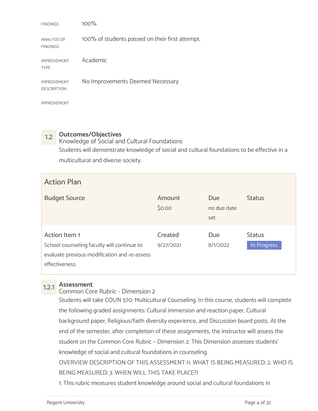| <b>FINDINGS</b>                          | 100%                                            |
|------------------------------------------|-------------------------------------------------|
| <b>ANALYSIS OF</b><br><b>FINDINGS</b>    | 100% of students passed on their first attempt. |
| <b>IMPROVEMENT</b><br><b>TYPE</b>        | Academic                                        |
| <b>IMPROVEMENT</b><br><b>DESCRIPTION</b> | No Improvements Deemed Necessary                |
| <b>IMPROVEMENT</b>                       |                                                 |

1.2 Outcomes/Objectives<br>Knowledge of Social and Cultural Foundations Students will demonstrate knowledge of social and cultural foundations to be effective in a multicultural and diverse society.

| <b>Action Plan</b>                                                                                                            |                      |                           |                              |
|-------------------------------------------------------------------------------------------------------------------------------|----------------------|---------------------------|------------------------------|
| <b>Budget Source</b>                                                                                                          | Amount<br>\$0.00     | Due<br>no due date<br>set | <b>Status</b>                |
| Action Item 1<br>School counseling faculty will continue to<br>evaluate previous modification and re-assess<br>effectiveness. | Created<br>9/27/2021 | Due<br>8/1/2022           | <b>Status</b><br>In Progress |

1.2.1 Assessment Common Core Rubric - Dimension 2

Students will take COUN 570: Multicultural Counseling. In this course, students will complete the following graded assignments: Cultural immersion and reaction paper, Cultural background paper, Religious/faith diversity experience, and Discussion board posts. At the end of the semester, after completion of these assignments, the instructor will assess the student on the Common Core Rubric – Dimension 2. This Dimension assesses students' knowledge of social and cultural foundations in counseling. OVERVIEW DESCRIPTION OF THIS ASSESSMENT (1. WHAT IS BEING MEASURED; 2. WHO IS

BEING MEASURED; 3. WHEN WILL THIS TAKE PLACE?)

1. This rubric measures student knowledge around social and cultural foundations in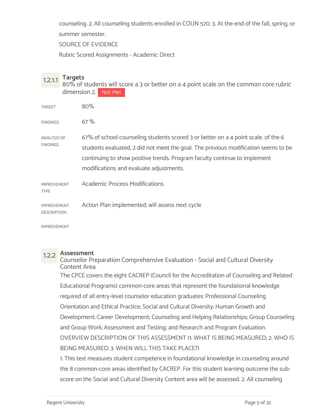counseling. 2. All counseling students enrolled in COUN 570. 3. At the end of the fall, spring, or

summer semester.

SOURCE OF EVIDENCE

Rubric Scored Assignments - Academic Direct

1.2.1.1 Targets<br>80% of students will score a 3 or better on a 4 point scale on the common core rubric dimension 2. Not Met

| <b>TARGET</b>                            | 80%                                                                                                                                                                                                                                                                                             |
|------------------------------------------|-------------------------------------------------------------------------------------------------------------------------------------------------------------------------------------------------------------------------------------------------------------------------------------------------|
| <b>FINDINGS</b>                          | 67%                                                                                                                                                                                                                                                                                             |
| <b>ANALYSIS OF</b><br><b>FINDINGS</b>    | 67% of school counseling students scored 3 or better on a 4 point scale. of the 6<br>students evaluated, 2 did not meet the goal. The previous modification seems to be<br>continuing to show positive trends. Program faculty continue to implement<br>modifications and evaluate adjustments. |
| <b>IMPROVEMENT</b><br><b>TYPE</b>        | <b>Academic Process Modifications</b>                                                                                                                                                                                                                                                           |
| <b>IMPROVEMENT</b><br><b>DESCRIPTION</b> | Action Plan implemented; will assess next cycle                                                                                                                                                                                                                                                 |
|                                          |                                                                                                                                                                                                                                                                                                 |

IMPROVEMENT

1.2.2 Assessment Counselor Preparation Comprehensive Evaluation - Social and Cultural Diversity Content Area The CPCE covers the eight CACREP (Council for the Accreditation of Counseling and Related

Educational Programs) common-core areas that represent the foundational knowledge required of all entry-level counselor education graduates: Professional Counseling Orientation and Ethical Practice; Social and Cultural Diversity; Human Growth and Development; Career Development; Counseling and Helping Relationships; Group Counseling and Group Work; Assessment and Testing; and Research and Program Evaluation. OVERVIEW DESCRIPTION OF THIS ASSESSMENT (1. WHAT IS BEING MEASURED; 2. WHO IS BEING MEASURED; 3. WHEN WILL THIS TAKE PLACE?) 1. This test measures student competence in foundational knowledge in counseling around

the 8 common-core areas identified by CACREP. For this student learning outcome the subscore on the Social and Cultural Diversity Content area will be assessed. 2. All counseling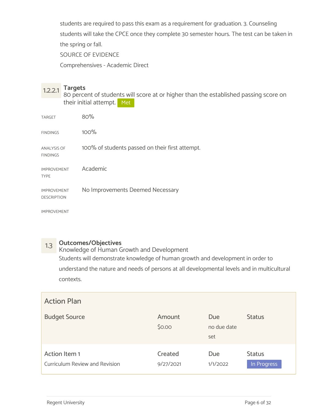students are required to pass this exam as a requirement for graduation. 3. Counseling students will take the CPCE once they complete 30 semester hours. The test can be taken in the spring or fall.

SOURCE OF EVIDENCE

Comprehensives - Academic Direct

1.2.2.1 Targets 80 percent of students will score at or higher than the established passing score on their initial attempt. Met

| <b>TARGET</b>                            | 80%                                             |
|------------------------------------------|-------------------------------------------------|
| <b>FINDINGS</b>                          | 100%                                            |
| ANALYSIS OF<br><b>FINDINGS</b>           | 100% of students passed on their first attempt. |
| <b>IMPROVEMENT</b><br><b>TYPE</b>        | Academic                                        |
| <b>IMPROVEMENT</b><br><b>DESCRIPTION</b> | No Improvements Deemed Necessary                |

IMPROVEMENT

1.3 Outcomes/Objectives<br>Knowledge of Human Growth and Development Students will demonstrate knowledge of human growth and development in order to understand the nature and needs of persons at all developmental levels and in multicultural contexts.

| <b>Action Plan</b>                              |                      |                                  |                              |
|-------------------------------------------------|----------------------|----------------------------------|------------------------------|
| <b>Budget Source</b>                            | Amount<br>\$0.00     | <b>Due</b><br>no due date<br>set | <b>Status</b>                |
| Action Item 1<br>Curriculum Review and Revision | Created<br>9/27/2021 | Due<br>1/1/2022                  | <b>Status</b><br>In Progress |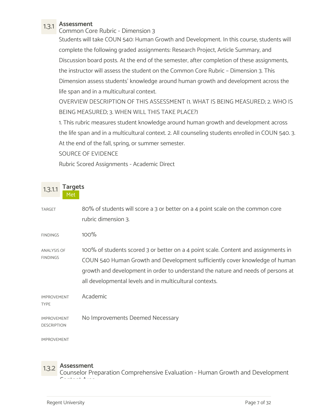1.3.1 Assessment Common Core Rubric - Dimension 3

Students will take COUN 540: Human Growth and Development. In this course, students will complete the following graded assignments: Research Project, Article Summary, and Discussion board posts. At the end of the semester, after completion of these assignments, the instructor will assess the student on the Common Core Rubric – Dimension 3. This Dimension assess students' knowledge around human growth and development across the life span and in a multicultural context.

OVERVIEW DESCRIPTION OF THIS ASSESSMENT (1. WHAT IS BEING MEASURED; 2. WHO IS BEING MEASURED; 3. WHEN WILL THIS TAKE PLACE?)

1. This rubric measures student knowledge around human growth and development across the life span and in a multicultural context. 2. All counseling students enrolled in COUN 540. 3. At the end of the fall, spring, or summer semester.

SOURCE OF EVIDENCE

Rubric Scored Assignments - Academic Direct

| 1.3.1.1<br>Met                           | <b>Targets</b>                                                                                                                                                                                                                                                                                                   |
|------------------------------------------|------------------------------------------------------------------------------------------------------------------------------------------------------------------------------------------------------------------------------------------------------------------------------------------------------------------|
| <b>TARGET</b>                            | 80% of students will score a 3 or better on a 4 point scale on the common core<br>rubric dimension 3.                                                                                                                                                                                                            |
| <b>FINDINGS</b>                          | 100%                                                                                                                                                                                                                                                                                                             |
| <b>ANALYSIS OF</b><br><b>FINDINGS</b>    | 100% of students scored 3 or better on a 4 point scale. Content and assignments in<br>COUN 540 Human Growth and Development sufficiently cover knowledge of human<br>growth and development in order to understand the nature and needs of persons at<br>all developmental levels and in multicultural contexts. |
| <b>IMPROVEMENT</b><br><b>TYPE</b>        | Academic                                                                                                                                                                                                                                                                                                         |
| <b>IMPROVEMENT</b><br><b>DESCRIPTION</b> | No Improvements Deemed Necessary                                                                                                                                                                                                                                                                                 |
| <b>IMPROVEMENT</b>                       |                                                                                                                                                                                                                                                                                                                  |

1.3.2 Assessment Counselor Preparation Comprehensive Evaluation - Human Growth and Development Content Area and the content of the content of the content of the content of the content of the content of the content of the content of the content of the content of the content of the content of the content of the conten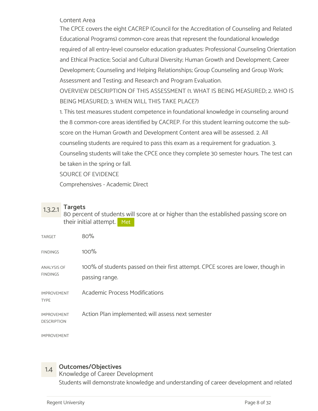Content Area

The CPCE covers the eight CACREP (Council for the Accreditation of Counseling and Related Educational Programs) common-core areas that represent the foundational knowledge required of all entry-level counselor education graduates: Professional Counseling Orientation and Ethical Practice; Social and Cultural Diversity; Human Growth and Development; Career Development; Counseling and Helping Relationships; Group Counseling and Group Work; Assessment and Testing; and Research and Program Evaluation.

OVERVIEW DESCRIPTION OF THIS ASSESSMENT (1. WHAT IS BEING MEASURED; 2. WHO IS BEING MEASURED; 3. WHEN WILL THIS TAKE PLACE?)

1. This test measures student competence in foundational knowledge in counseling around the 8 common-core areas identified by CACREP. For this student learning outcome the subscore on the Human Growth and Development Content area will be assessed. 2. All counseling students are required to pass this exam as a requirement for graduation. 3. Counseling students will take the CPCE once they complete 30 semester hours. The test can be taken in the spring or fall.

SOURCE OF EVIDENCE

Comprehensives - Academic Direct

1.3.2.1 Targets 80 percent of students will score at or higher than the established passing score on their initial attempt. Met

| TARGET                                   | 80%                                                                                                |
|------------------------------------------|----------------------------------------------------------------------------------------------------|
| <b>FINDINGS</b>                          | 100%                                                                                               |
| <b>ANALYSIS OF</b><br><b>FINDINGS</b>    | 100% of students passed on their first attempt. CPCE scores are lower, though in<br>passing range. |
| <b>IMPROVEMENT</b><br><b>TYPE</b>        | <b>Academic Process Modifications</b>                                                              |
| <b>IMPROVEMENT</b><br><b>DESCRIPTION</b> | Action Plan implemented; will assess next semester                                                 |
|                                          |                                                                                                    |

IMPROVEMENT

1.4 **Outcomes/Objectives**<br>Knowledge of Career Development Students will demonstrate knowledge and understanding of career development and related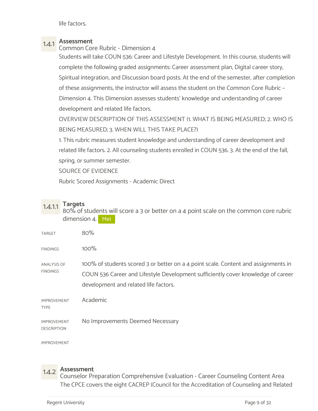life factors.

# 1.4.1 Assessment

Common Core Rubric - Dimension 4

Students will take COUN 536: Career and Lifestyle Development. In this course, students will complete the following graded assignments: Career assessment plan, Digital career story, Spiritual integration, and Discussion board posts. At the end of the semester, after completion of these assignments, the instructor will assess the student on the Common Core Rubric – Dimension 4. This Dimension assesses students' knowledge and understanding of career development and related life factors.

OVERVIEW DESCRIPTION OF THIS ASSESSMENT (1. WHAT IS BEING MEASURED; 2. WHO IS BEING MEASURED; 3. WHEN WILL THIS TAKE PLACE?)

1. This rubric measures student knowledge and understanding of career development and related life factors. 2. All counseling students enrolled in COUN 536. 3. At the end of the fall, spring, or summer semester.

SOURCE OF EVIDENCE

Rubric Scored Assignments - Academic Direct

1.4.1.1 Targets 80% of students will score a 3 or better on a 4 point scale on the common core rubric dimension 4. Met

| TARGET                                   | 80%                                                                                                                                                                                                             |
|------------------------------------------|-----------------------------------------------------------------------------------------------------------------------------------------------------------------------------------------------------------------|
| <b>FINDINGS</b>                          | 100%                                                                                                                                                                                                            |
| ANALYSIS OF<br><b>FINDINGS</b>           | 100% of students scored 3 or better on a 4 point scale. Content and assignments in<br>COUN 536 Career and Lifestyle Development sufficiently cover knowledge of career<br>development and related life factors. |
| <b>IMPROVEMENT</b><br><b>TYPE</b>        | Academic                                                                                                                                                                                                        |
| <b>IMPROVEMENT</b><br><b>DESCRIPTION</b> | No Improvements Deemed Necessary                                                                                                                                                                                |
|                                          |                                                                                                                                                                                                                 |

IMPROVEMENT

1.4.2 Assessment Counselor Preparation Comprehensive Evaluation - Career Counseling Content Area The CPCE covers the eight CACREP (Council for the Accreditation of Counseling and Related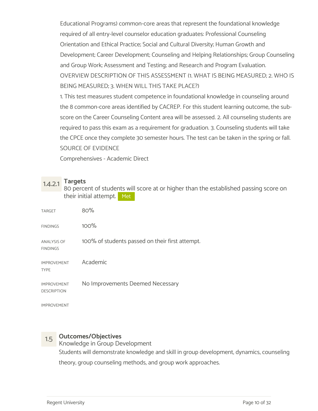Educational Programs) common-core areas that represent the foundational knowledge required of all entry-level counselor education graduates: Professional Counseling Orientation and Ethical Practice; Social and Cultural Diversity; Human Growth and Development; Career Development; Counseling and Helping Relationships; Group Counseling and Group Work; Assessment and Testing; and Research and Program Evaluation. OVERVIEW DESCRIPTION OF THIS ASSESSMENT (1. WHAT IS BEING MEASURED; 2. WHO IS BEING MEASURED; 3. WHEN WILL THIS TAKE PLACE?)

1. This test measures student competence in foundational knowledge in counseling around the 8 common-core areas identified by CACREP. For this student learning outcome, the subscore on the Career Counseling Content area will be assessed. 2. All counseling students are required to pass this exam as a requirement for graduation. 3. Counseling students will take the CPCE once they complete 30 semester hours. The test can be taken in the spring or fall. SOURCE OF EVIDENCE

Comprehensives - Academic Direct

1.4.2.1 Targets 80 percent of students will score at or higher than the established passing score on their initial attempt. Met

| <b>TARGET</b>                            | 80%                                             |
|------------------------------------------|-------------------------------------------------|
| <b>FINDINGS</b>                          | 100%                                            |
| <b>ANALYSIS OF</b><br><b>FINDINGS</b>    | 100% of students passed on their first attempt. |
| <b>IMPROVEMENT</b><br><b>TYPE</b>        | Academic                                        |
| <b>IMPROVEMENT</b><br><b>DESCRIPTION</b> | No Improvements Deemed Necessary                |
| <b>IMPROVEMENT</b>                       |                                                 |

1.5 Outcomes/Objectives<br>Knowledge in Group Development Students will demonstrate knowledge and skill in group development, dynamics, counseling theory, group counseling methods, and group work approaches.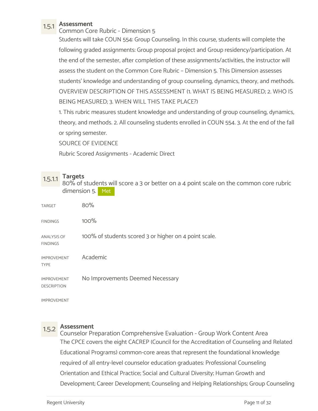1.5.1 Assessment Common Core Rubric - Dimension 5

Students will take COUN 554: Group Counseling. In this course, students will complete the following graded assignments: Group proposal project and Group residency/participation. At the end of the semester, after completion of these assignments/activities, the instructor will assess the student on the Common Core Rubric – Dimension 5. This Dimension assesses students' knowledge and understanding of group counseling, dynamics, theory, and methods. OVERVIEW DESCRIPTION OF THIS ASSESSMENT (1. WHAT IS BEING MEASURED; 2. WHO IS BEING MEASURED; 3. WHEN WILL THIS TAKE PLACE?)

1. This rubric measures student knowledge and understanding of group counseling, dynamics, theory, and methods. 2. All counseling students enrolled in COUN 554. 3. At the end of the fall or spring semester.

SOURCE OF EVIDENCE

Rubric Scored Assignments - Academic Direct

1.5.1.1 Targets 80% of students will score a 3 or better on a 4 point scale on the common core rubric dimension 5. Met

| <b>TARGET</b>                            | 80%                                                   |
|------------------------------------------|-------------------------------------------------------|
| <b>FINDINGS</b>                          | 100%                                                  |
| <b>ANALYSIS OF</b><br><b>FINDINGS</b>    | 100% of students scored 3 or higher on 4 point scale. |
| <b>IMPROVEMENT</b><br><b>TYPE</b>        | Academic                                              |
| <b>IMPROVEMENT</b><br><b>DESCRIPTION</b> | No Improvements Deemed Necessary                      |

IMPROVEMENT

1.5.2 Assessment Counselor Preparation Comprehensive Evaluation - Group Work Content Area The CPCE covers the eight CACREP (Council for the Accreditation of Counseling and Related Educational Programs) common-core areas that represent the foundational knowledge required of all entry-level counselor education graduates: Professional Counseling Orientation and Ethical Practice; Social and Cultural Diversity; Human Growth and Development; Career Development; Counseling and Helping Relationships; Group Counseling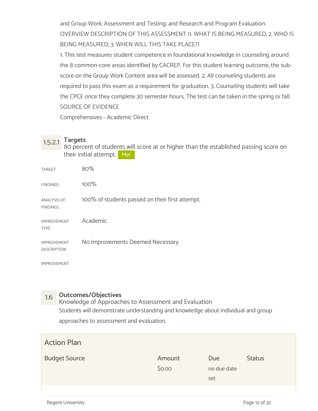and Group Work; Assessment and Testing; and Research and Program Evaluation. OVERVIEW DESCRIPTION OF THIS ASSESSMENT (1. WHAT IS BEING MEASURED; 2. WHO IS BEING MEASURED; 3. WHEN WILL THIS TAKE PLACE?)

1. This test measures student competence in foundational knowledge in counseling around the 8 common-core areas identified by CACREP. For this student learning outcome, the subscore on the Group Work Content area will be assessed. 2. All counseling students are required to pass this exam as a requirement for graduation. 3. Counseling students will take the CPCE once they complete 30 semester hours. The test can be taken in the spring or fall. SOURCE OF EVIDENCE

Comprehensives - Academic Direct

1.5.2.1 Targets 80 percent of students will score at or higher than the established passing score on their initial attempt. Met

| <b>TARGET</b>                            | 80%                                             |
|------------------------------------------|-------------------------------------------------|
| <b>FINDINGS</b>                          | 100%                                            |
| <b>ANALYSIS OF</b><br><b>FINDINGS</b>    | 100% of students passed on their first attempt. |
| <b>IMPROVEMENT</b><br><b>TYPE</b>        | Academic                                        |
| <b>IMPROVEMENT</b><br><b>DESCRIPTION</b> | No Improvements Deemed Necessary                |

IMPROVEMENT

1.6 Outcomes/Objectives Knowledge of Approaches to Assessment and Evaluation Students will demonstrate understanding and knowledge about individual and group approaches to assessment and evaluation.

| <b>Action Plan</b>   |                  |                           |               |
|----------------------|------------------|---------------------------|---------------|
| <b>Budget Source</b> | Amount<br>\$0.00 | Due<br>no due date<br>set | <b>Status</b> |
|                      |                  |                           |               |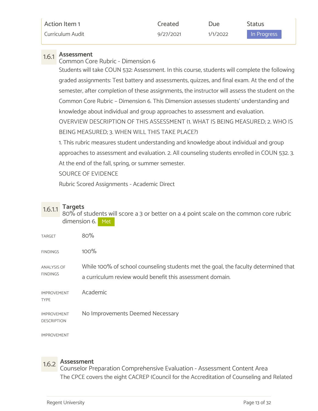| Action Item 1    | created   | Due      | Status      |
|------------------|-----------|----------|-------------|
| Curriculum Audit | 9/27/2021 | 1/1/2022 | In Progress |

1.6.1 Assessment Common Core Rubric - Dimension 6

Students will take COUN 532: Assessment. In this course, students will complete the following graded assignments: Test battery and assessments, quizzes, and final exam. At the end of the semester, after completion of these assignments, the instructor will assess the student on the Common Core Rubric – Dimension 6. This Dimension assesses students' understanding and knowledge about individual and group approaches to assessment and evaluation. OVERVIEW DESCRIPTION OF THIS ASSESSMENT (1. WHAT IS BEING MEASURED; 2. WHO IS BEING MEASURED; 3. WHEN WILL THIS TAKE PLACE?)

1. This rubric measures student understanding and knowledge about individual and group approaches to assessment and evaluation. 2. All counseling students enrolled in COUN 532. 3. At the end of the fall, spring, or summer semester.

SOURCE OF EVIDENCE

Rubric Scored Assignments - Academic Direct

1.6.1.1 Targets 80% of students will score a 3 or better on a 4 point scale on the common core rubric dimension 6. Met

| 80%                                                                                                                                             |
|-------------------------------------------------------------------------------------------------------------------------------------------------|
| 100%                                                                                                                                            |
| While 100% of school counseling students met the goal, the faculty determined that<br>a curriculum review would benefit this assessment domain. |
| Academic                                                                                                                                        |
| No Improvements Deemed Necessary                                                                                                                |
|                                                                                                                                                 |

IMPROVEMENT

1.6.2 Assessment Counselor Preparation Comprehensive Evaluation - Assessment Content Area The CPCE covers the eight CACREP (Council for the Accreditation of Counseling and Related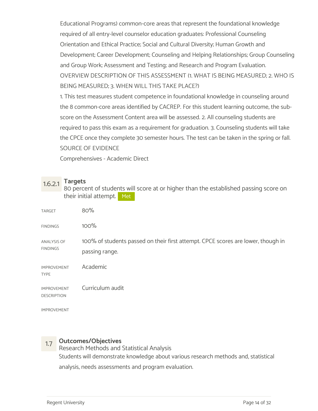Educational Programs) common-core areas that represent the foundational knowledge required of all entry-level counselor education graduates: Professional Counseling Orientation and Ethical Practice; Social and Cultural Diversity; Human Growth and Development; Career Development; Counseling and Helping Relationships; Group Counseling and Group Work; Assessment and Testing; and Research and Program Evaluation. OVERVIEW DESCRIPTION OF THIS ASSESSMENT (1. WHAT IS BEING MEASURED; 2. WHO IS BEING MEASURED; 3. WHEN WILL THIS TAKE PLACE?)

1. This test measures student competence in foundational knowledge in counseling around the 8 common-core areas identified by CACREP. For this student learning outcome, the subscore on the Assessment Content area will be assessed. 2. All counseling students are required to pass this exam as a requirement for graduation. 3. Counseling students will take the CPCE once they complete 30 semester hours. The test can be taken in the spring or fall. SOURCE OF EVIDENCE

Comprehensives - Academic Direct

1.6.2.1 Targets 80 percent of students will score at or higher than the established passing score on their initial attempt. Met

| TARGET                                   | 80%                                                                                                |
|------------------------------------------|----------------------------------------------------------------------------------------------------|
| <b>FINDINGS</b>                          | $100\%$                                                                                            |
| ANALYSIS OF<br><b>FINDINGS</b>           | 100% of students passed on their first attempt. CPCE scores are lower, though in<br>passing range. |
| <b>IMPROVEMENT</b><br><b>TYPE</b>        | Academic                                                                                           |
| <b>IMPROVEMENT</b><br><b>DESCRIPTION</b> | Curriculum audit                                                                                   |
|                                          |                                                                                                    |

IMPROVEMENT

1.7 Outcomes/Objectives Research Methods and Statistical Analysis Students will demonstrate knowledge about various research methods and, statistical analysis, needs assessments and program evaluation.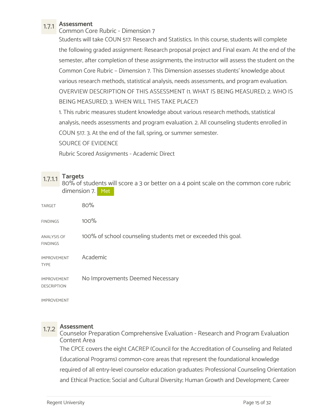1.7.1 Assessment Common Core Rubric - Dimension 7

Students will take COUN 517: Research and Statistics. In this course, students will complete the following graded assignment: Research proposal project and Final exam. At the end of the semester, after completion of these assignments, the instructor will assess the student on the Common Core Rubric – Dimension 7. This Dimension assesses students' knowledge about various research methods, statistical analysis, needs assessments, and program evaluation. OVERVIEW DESCRIPTION OF THIS ASSESSMENT (1. WHAT IS BEING MEASURED; 2. WHO IS BEING MEASURED; 3. WHEN WILL THIS TAKE PLACE?)

1. This rubric measures student knowledge about various research methods, statistical analysis, needs assessments and program evaluation. 2. All counseling students enrolled in COUN 517. 3. At the end of the fall, spring, or summer semester.

SOURCE OF EVIDENCE

Rubric Scored Assignments - Academic Direct

1.7.1.1 Targets<br>80% of students will score a 3 or better on a 4 point scale on the common core rubric dimension 7. Met

| <b>TARGET</b>                            | 80%                                                           |
|------------------------------------------|---------------------------------------------------------------|
| <b>FINDINGS</b>                          | 100%                                                          |
| <b>ANALYSIS OF</b><br><b>FINDINGS</b>    | 100% of school counseling students met or exceeded this goal. |
| <b>IMPROVEMENT</b><br><b>TYPE</b>        | Academic                                                      |
| <b>IMPROVEMENT</b><br><b>DESCRIPTION</b> | No Improvements Deemed Necessary                              |

IMPROVEMENT

1.7.2 Assessment Counselor Preparation Comprehensive Evaluation - Research and Program Evaluation Content Area The CPCE covers the eight CACREP (Council for the Accreditation of Counseling and Related Educational Programs) common-core areas that represent the foundational knowledge required of all entry-level counselor education graduates: Professional Counseling Orientation and Ethical Practice; Social and Cultural Diversity; Human Growth and Development; Career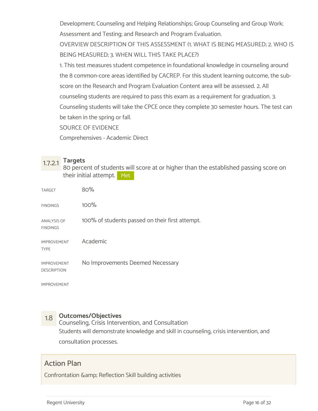Development; Counseling and Helping Relationships; Group Counseling and Group Work; Assessment and Testing; and Research and Program Evaluation.

OVERVIEW DESCRIPTION OF THIS ASSESSMENT (1. WHAT IS BEING MEASURED; 2. WHO IS BEING MEASURED; 3. WHEN WILL THIS TAKE PLACE?)

1. This test measures student competence in foundational knowledge in counseling around the 8 common-core areas identified by CACREP. For this student learning outcome, the subscore on the Research and Program Evaluation Content area will be assessed. 2. All counseling students are required to pass this exam as a requirement for graduation. 3. Counseling students will take the CPCE once they complete 30 semester hours. The test can be taken in the spring or fall.

SOURCE OF EVIDENCE

Comprehensives - Academic Direct

1.7.2.1 Targets<br>80 percent of students will score at or higher than the established passing score on their initial attempt. Met

| <b>TARGET</b>                            | 80%                                             |
|------------------------------------------|-------------------------------------------------|
| <b>FINDINGS</b>                          | 100%                                            |
| <b>ANALYSIS OF</b><br><b>FINDINGS</b>    | 100% of students passed on their first attempt. |
| <b>IMPROVEMENT</b><br><b>TYPE</b>        | Academic                                        |
| <b>IMPROVEMENT</b><br><b>DESCRIPTION</b> | No Improvements Deemed Necessary                |

IMPROVEMENT

1.8 Outcomes/Objectives<br>Counseling, Crisis Intervention, and Consultation Students will demonstrate knowledge and skill in counseling, crisis intervention, and consultation processes.

## Action Plan

Confrontation & amp; Reflection Skill building activities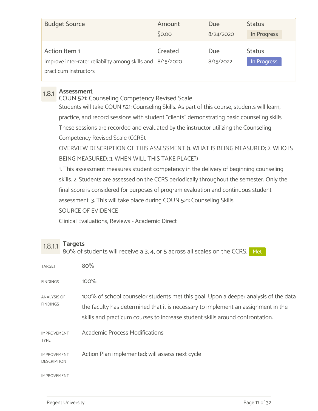| <b>Budget Source</b>                                                                                 | Amount  | Due              | <b>Status</b>                |
|------------------------------------------------------------------------------------------------------|---------|------------------|------------------------------|
|                                                                                                      | \$0.00  | 8/24/2020        | In Progress                  |
| Action Item 1<br>Improve inter-rater reliability among skills and 8/15/2020<br>practicum instructors | Created | Due<br>8/15/2022 | <b>Status</b><br>In Progress |

1.8.1 Assessment COUN 521: Counseling Competency Revised Scale Students will take COUN 521: Counseling Skills. As part of this course, students will learn, practice, and record sessions with student "clients" demonstrating basic counseling skills. These sessions are recorded and evaluated by the instructor utilizing the Counseling Competency Revised Scale (CCRS). OVERVIEW DESCRIPTION OF THIS ASSESSMENT (1. WHAT IS BEING MEASURED; 2. WHO IS BEING MEASURED; 3. WHEN WILL THIS TAKE PLACE?) 1. This assessment measures student competency in the delivery of beginning counseling skills. 2. Students are assessed on the CCRS periodically throughout the semester. Only the final score is considered for purposes of program evaluation and continuous student assessment. 3. This will take place during COUN 521: Counseling Skills. SOURCE OF EVIDENCE Clinical Evaluations, Reviews - Academic Direct

# $1.8.1.1$  Targets<br> $1.8.1.1$   $8.8\%$  of students will resolve a 3.4 or 5 across all so

|                                          | 80% of students will receive a 3, 4, or 5 across all scales on the CCRS. Met                                                                                                                                                                              |
|------------------------------------------|-----------------------------------------------------------------------------------------------------------------------------------------------------------------------------------------------------------------------------------------------------------|
| <b>TARGET</b>                            | 80%                                                                                                                                                                                                                                                       |
| <b>FINDINGS</b>                          | $100\%$                                                                                                                                                                                                                                                   |
| ANALYSIS OF<br><b>FINDINGS</b>           | 100% of school counselor students met this goal. Upon a deeper analysis of the data<br>the faculty has determined that it is necessary to implement an assignment in the<br>skills and practicum courses to increase student skills around confrontation. |
| <b>IMPROVEMENT</b><br><b>TYPE</b>        | <b>Academic Process Modifications</b>                                                                                                                                                                                                                     |
| <b>IMPROVEMENT</b><br><b>DESCRIPTION</b> | Action Plan implemented; will assess next cycle                                                                                                                                                                                                           |
| <b>IMPROVEMENT</b>                       |                                                                                                                                                                                                                                                           |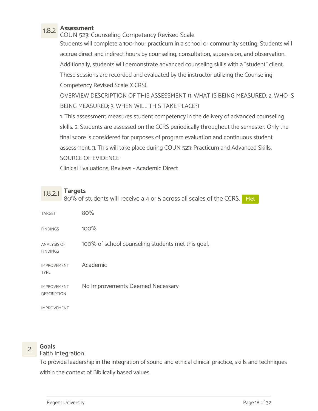1.8.2 Assessment COUN 523: Counseling Competency Revised Scale

Students will complete a 100-hour practicum in a school or community setting. Students will accrue direct and indirect hours by counseling, consultation, supervision, and observation. Additionally, students will demonstrate advanced counseling skills with a "student" client. These sessions are recorded and evaluated by the instructor utilizing the Counseling Competency Revised Scale (CCRS).

OVERVIEW DESCRIPTION OF THIS ASSESSMENT (1. WHAT IS BEING MEASURED; 2. WHO IS BEING MEASURED; 3. WHEN WILL THIS TAKE PLACE?)

1. This assessment measures student competency in the delivery of advanced counseling skills. 2. Students are assessed on the CCRS periodically throughout the semester. Only the final score is considered for purposes of program evaluation and continuous student assessment. 3. This will take place during COUN 523: Practicum and Advanced Skills. SOURCE OF EVIDENCE

Clinical Evaluations, Reviews - Academic Direct

1.8.2.1 Targets<br>1.8.2.1 Ro<sup>o</sup>/ of students will resolve a 4 er F asress all scale 80% of students will receive a 4 or 5 across all scales of the CCRS. Met net all  $\sim$ 

| <b>TARGET</b>                            | 80%                                               |
|------------------------------------------|---------------------------------------------------|
| <b>FINDINGS</b>                          | 100%                                              |
| <b>ANALYSIS OF</b><br><b>FINDINGS</b>    | 100% of school counseling students met this goal. |
| <b>IMPROVEMENT</b><br><b>TYPE</b>        | Academic                                          |
| <b>IMPROVEMENT</b><br><b>DESCRIPTION</b> | No Improvements Deemed Necessary                  |
| <b>IMPROVEMENT</b>                       |                                                   |

2 Goals<br>Paith Integration Faith Integration

To provide leadership in the integration of sound and ethical clinical practice, skills and techniques within the context of Biblically based values.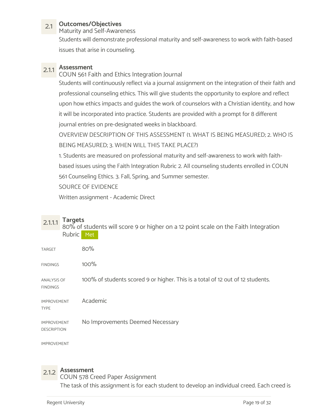## 2.1 Outcomes/Objectives

Maturity and Self-Awareness

Students will demonstrate professional maturity and self-awareness to work with faith-based issues that arise in counseling.

2.1.1 **Assessment**<br>COUN 561 Faith and Ethics Integration Journal Students will continuously reflect via a journal assignment on the integration of their faith and professional counseling ethics. This will give students the opportunity to explore and reflect upon how ethics impacts and guides the work of counselors with a Christian identity, and how it will be incorporated into practice. Students are provided with a prompt for 8 different journal entries on pre-designated weeks in blackboard.

OVERVIEW DESCRIPTION OF THIS ASSESSMENT (1. WHAT IS BEING MEASURED; 2. WHO IS BEING MEASURED; 3. WHEN WILL THIS TAKE PLACE?)

1. Students are measured on professional maturity and self-awareness to work with faithbased issues using the Faith Integration Rubric 2. All counseling students enrolled in COUN 561 Counseling Ethics. 3. Fall, Spring, and Summer semester.

SOURCE OF EVIDENCE

Written assignment - Academic Direct

2.1.1.1 Targets<br>80% of students will score 9 or higher on a 12 point scale on the Faith Integration Rubric Met

| TARGET                                   | 80%                                                                            |
|------------------------------------------|--------------------------------------------------------------------------------|
| <b>FINDINGS</b>                          | 100%                                                                           |
| <b>ANALYSIS OF</b><br><b>FINDINGS</b>    | 100% of students scored 9 or higher. This is a total of 12 out of 12 students. |
| <b>IMPROVEMENT</b><br><b>TYPE</b>        | Academic                                                                       |
| <b>IMPROVEMENT</b><br><b>DESCRIPTION</b> | No Improvements Deemed Necessary                                               |

IMPROVEMENT

# 2.1.2 Assessment

COUN 578 Creed Paper Assignment The task of this assignment is for each student to develop an individual creed. Each creed is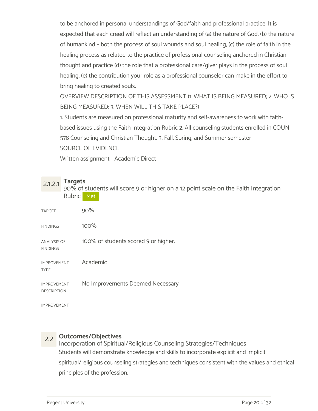to be anchored in personal understandings of God/faith and professional practice. It is expected that each creed will reflect an understanding of (a) the nature of God, (b) the nature of humankind – both the process of soul wounds and soul healing, (c) the role of faith in the healing process as related to the practice of professional counseling anchored in Christian thought and practice (d) the role that a professional care/giver plays in the process of soul healing, (e) the contribution your role as a professional counselor can make in the effort to bring healing to created souls.

OVERVIEW DESCRIPTION OF THIS ASSESSMENT (1. WHAT IS BEING MEASURED; 2. WHO IS BEING MEASURED; 3. WHEN WILL THIS TAKE PLACE?)

1. Students are measured on professional maturity and self-awareness to work with faithbased issues using the Faith Integration Rubric 2. All counseling students enrolled in COUN 578 Counseling and Christian Thought. 3. Fall, Spring, and Summer semester SOURCE OF EVIDENCE

Written assignment - Academic Direct

2.1.2.1 Targets<br>90% of students will score 9 or higher on a 12 point scale on the Faith Integration Rubric Met

| <b>TARGET</b>                            | 90%                                  |
|------------------------------------------|--------------------------------------|
| <b>FINDINGS</b>                          | 100%                                 |
| <b>ANALYSIS OF</b><br><b>FINDINGS</b>    | 100% of students scored 9 or higher. |
| <b>IMPROVEMENT</b><br><b>TYPE</b>        | Academic                             |
| <b>IMPROVEMENT</b><br><b>DESCRIPTION</b> | No Improvements Deemed Necessary     |
| <b>IMPROVEMENT</b>                       |                                      |

2.2 Outcomes/Objectives Incorporation of Spiritual/Religious Counseling Strategies/Techniques Students will demonstrate knowledge and skills to incorporate explicit and implicit spiritual/religious counseling strategies and techniques consistent with the values and ethical principles of the profession.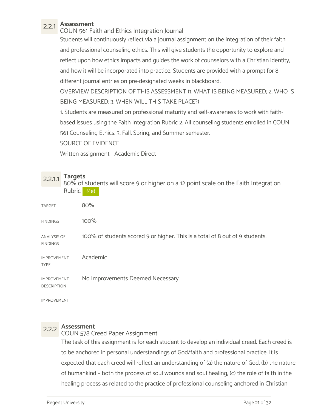2.2.1 **Assessment**<br>COUN 561 Faith and Ethics Integration Journal Students will continuously reflect via a journal assignment on the integration of their faith and professional counseling ethics. This will give students the opportunity to explore and reflect upon how ethics impacts and guides the work of counselors with a Christian identity, and how it will be incorporated into practice. Students are provided with a prompt for 8 different journal entries on pre-designated weeks in blackboard.

OVERVIEW DESCRIPTION OF THIS ASSESSMENT (1. WHAT IS BEING MEASURED; 2. WHO IS BEING MEASURED; 3. WHEN WILL THIS TAKE PLACE?)

1. Students are measured on professional maturity and self-awareness to work with faithbased issues using the Faith Integration Rubric 2. All counseling students enrolled in COUN 561 Counseling Ethics. 3. Fall, Spring, and Summer semester.

SOURCE OF EVIDENCE

Written assignment - Academic Direct

2.2.1.1 Targets<br>80% of students will score 9 or higher on a 12 point scale on the Faith Integration Rubric Met

| <b>TARGET</b>                            | 80%                                                                          |
|------------------------------------------|------------------------------------------------------------------------------|
| <b>FINDINGS</b>                          | $100\%$                                                                      |
| <b>ANALYSIS OF</b><br><b>FINDINGS</b>    | 100% of students scored 9 or higher. This is a total of 8 out of 9 students. |
| <b>IMPROVEMENT</b><br><b>TYPE</b>        | Academic                                                                     |
| <b>IMPROVEMENT</b><br><b>DESCRIPTION</b> | No Improvements Deemed Necessary                                             |

IMPROVEMENT

# 2.2.2 Assessment

COUN 578 Creed Paper Assignment

The task of this assignment is for each student to develop an individual creed. Each creed is to be anchored in personal understandings of God/faith and professional practice. It is expected that each creed will reflect an understanding of (a) the nature of God, (b) the nature of humankind – both the process of soul wounds and soul healing, (c) the role of faith in the healing process as related to the practice of professional counseling anchored in Christian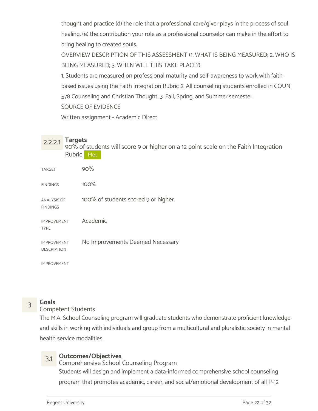thought and practice (d) the role that a professional care/giver plays in the process of soul healing, (e) the contribution your role as a professional counselor can make in the effort to bring healing to created souls.

OVERVIEW DESCRIPTION OF THIS ASSESSMENT (1. WHAT IS BEING MEASURED; 2. WHO IS BEING MEASURED; 3. WHEN WILL THIS TAKE PLACE?)

1. Students are measured on professional maturity and self-awareness to work with faithbased issues using the Faith Integration Rubric 2. All counseling students enrolled in COUN 578 Counseling and Christian Thought. 3. Fall, Spring, and Summer semester.

SOURCE OF EVIDENCE

Written assignment - Academic Direct

# 2.2.2.1 Targets<br>90% of students will score 9 or higher on a 12 point scale on the Faith Integration

Rubric Met

| <b>TARGET</b>                            | 90%                                  |
|------------------------------------------|--------------------------------------|
| <b>FINDINGS</b>                          | 100%                                 |
| <b>ANALYSIS OF</b><br><b>FINDINGS</b>    | 100% of students scored 9 or higher. |
| <b>IMPROVEMENT</b><br><b>TYPE</b>        | Academic                             |
| <b>IMPROVEMENT</b><br><b>DESCRIPTION</b> | No Improvements Deemed Necessary     |

IMPROVEMENT

# 3 Goals<br>
Sompetent Students

The M.A. School Counseling program will graduate students who demonstrate proficient knowledge and skills in working with individuals and group from a multicultural and pluralistic society in mental health service modalities.

3.1 Outcomes/Objectives Comprehensive School Counseling Program Students will design and implement a data-informed comprehensive school counseling program that promotes academic, career, and social/emotional development of all P-12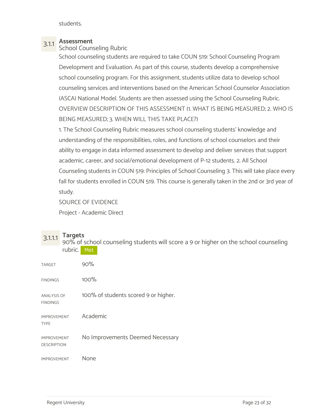students.

3.1.1 Assessment<br>School Counseling Rubric

School counseling students are required to take COUN 519: School Counseling Program Development and Evaluation. As part of this course, students develop a comprehensive school counseling program. For this assignment, students utilize data to develop school counseling services and interventions based on the American School Counselor Association (ASCA) National Model. Students are then assessed using the School Counseling Rubric. OVERVIEW DESCRIPTION OF THIS ASSESSMENT (1. WHAT IS BEING MEASURED; 2. WHO IS BEING MEASURED; 3. WHEN WILL THIS TAKE PLACE?)

1. The School Counseling Rubric measures school counseling students' knowledge and understanding of the responsibilities, roles, and functions of school counselors and their ability to engage in data informed assessment to develop and deliver services that support academic, career, and social/emotional development of P-12 students. 2. All School Counseling students in COUN 519: Principles of School Counseling 3. This will take place every fall for students enrolled in COUN 519. This course is generally taken in the 2nd or 3rd year of study.

SOURCE OF EVIDENCE

Project - Academic Direct

3.1.1.1 Targets<br>90% of school counseling students will score a 9 or higher on the school counseling rubric. Met

| <b>TARGET</b>                            | 90%                                  |
|------------------------------------------|--------------------------------------|
| <b>FINDINGS</b>                          | 100%                                 |
| <b>ANALYSIS OF</b><br><b>FINDINGS</b>    | 100% of students scored 9 or higher. |
| <b>IMPROVEMENT</b><br><b>TYPE</b>        | Academic                             |
| <b>IMPROVEMENT</b><br><b>DESCRIPTION</b> | No Improvements Deemed Necessary     |
| <b>IMPROVEMENT</b>                       | None                                 |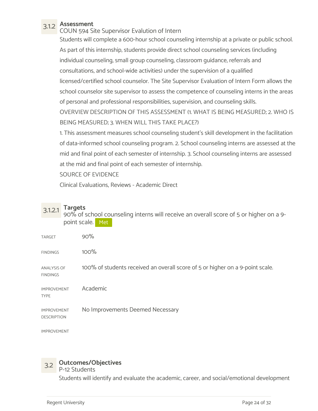3.1.2 Assessment COUN 594 Site Supervisor Evalution of Intern Students will complete a 600-hour school counseling internship at a private or public school. As part of this internship, students provide direct school counseling services (including individual counseling, small group counseling, classroom guidance, referrals and consultations, and school-wide activities) under the supervision of a qualified licensed/certified school counselor. The Site Supervisor Evaluation of Intern Form allows the school counselor site supervisor to assess the competence of counseling interns in the areas of personal and professional responsibilities, supervision, and counseling skills. OVERVIEW DESCRIPTION OF THIS ASSESSMENT (1. WHAT IS BEING MEASURED; 2. WHO IS BEING MEASURED; 3. WHEN WILL THIS TAKE PLACE?)

1. This assessment measures school counseling student's skill development in the facilitation of data-informed school counseling program. 2. School counseling interns are assessed at the mid and final point of each semester of internship. 3. School counseling interns are assessed at the mid and final point of each semester of internship.

SOURCE OF EVIDENCE

Clinical Evaluations, Reviews - Academic Direct

3.1.2.1 Targets 90% of school counseling interns will receive an overall score of 5 or higher on a 9 point scale. Met

| <b>TARGET</b>                            | 90%                                                                           |
|------------------------------------------|-------------------------------------------------------------------------------|
| <b>FINDINGS</b>                          | 100%                                                                          |
| <b>ANALYSIS OF</b><br><b>FINDINGS</b>    | 100% of students received an overall score of 5 or higher on a 9-point scale. |
| <b>IMPROVEMENT</b><br><b>TYPE</b>        | Academic                                                                      |
| <b>IMPROVEMENT</b><br><b>DESCRIPTION</b> | No Improvements Deemed Necessary                                              |

IMPROVEMENT

# 3.2 Outcomes/Objectives

P-12 Students

Students will identify and evaluate the academic, career, and social/emotional development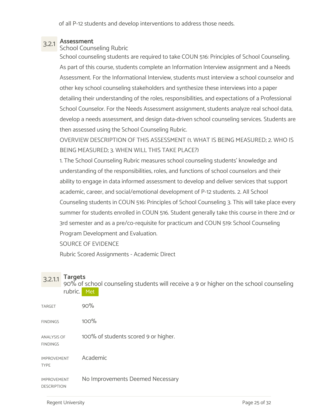of all P-12 students and develop interventions to address those needs.

# 3.2.1 Assessment School Counseling Rubric

School counseling students are required to take COUN 516: Principles of School Counseling. As part of this course, students complete an Information Interview assignment and a Needs Assessment. For the Informational Interview, students must interview a school counselor and other key school counseling stakeholders and synthesize these interviews into a paper detailing their understanding of the roles, responsibilities, and expectations of a Professional School Counselor. For the Needs Assessment assignment, students analyze real school data, develop a needs assessment, and design data-driven school counseling services. Students are then assessed using the School Counseling Rubric.

OVERVIEW DESCRIPTION OF THIS ASSESSMENT (1. WHAT IS BEING MEASURED; 2. WHO IS BEING MEASURED; 3. WHEN WILL THIS TAKE PLACE?)

1. The School Counseling Rubric measures school counseling students' knowledge and understanding of the responsibilities, roles, and functions of school counselors and their ability to engage in data informed assessment to develop and deliver services that support academic, career, and social/emotional development of P-12 students. 2. All School Counseling students in COUN 516: Principles of School Counseling 3. This will take place every summer for students enrolled in COUN 516. Student generally take this course in there 2nd or 3rd semester and as a pre/co-requisite for practicum and COUN 519: School Counseling Program Development and Evaluation.

SOURCE OF EVIDENCE

Rubric Scored Assignments - Academic Direct

3.2.1.1 Targets 90% of school counseling students will receive a 9 or higher on the school counseling rubric. Met

| <b>TARGET</b>                            | 90%                                  |
|------------------------------------------|--------------------------------------|
| <b>FINDINGS</b>                          | 100%                                 |
| <b>ANALYSIS OF</b><br><b>FINDINGS</b>    | 100% of students scored 9 or higher. |
| <b>IMPROVEMENT</b><br><b>TYPE</b>        | Academic                             |
| <b>IMPROVEMENT</b><br><b>DESCRIPTION</b> | No Improvements Deemed Necessary     |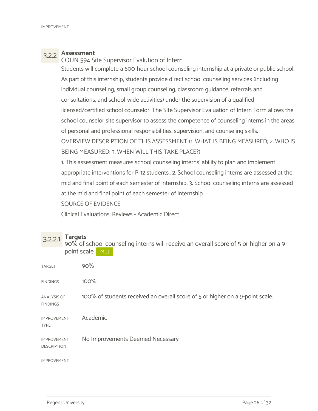3.2.2 Assessment COUN 594 Site Supervisor Evalution of Intern

Students will complete a 600-hour school counseling internship at a private or public school. As part of this internship, students provide direct school counseling services (including individual counseling, small group counseling, classroom guidance, referrals and consultations, and school-wide activities) under the supervision of a qualified licensed/certified school counselor. The Site Supervisor Evaluation of Intern Form allows the school counselor site supervisor to assess the competence of counseling interns in the areas of personal and professional responsibilities, supervision, and counseling skills. OVERVIEW DESCRIPTION OF THIS ASSESSMENT (1. WHAT IS BEING MEASURED; 2. WHO IS BEING MEASURED; 3. WHEN WILL THIS TAKE PLACE?)

1. This assessment measures school counseling interns' ability to plan and implement appropriate interventions for P-12 students.. 2. School counseling interns are assessed at the mid and final point of each semester of internship. 3. School counseling interns are assessed at the mid and final point of each semester of internship.

SOURCE OF EVIDENCE

Clinical Evaluations, Reviews - Academic Direct

| $3.2.2.1$ Targets<br>90% of school counseling interns will receive an overall score of 5 or higher on a 9- |
|------------------------------------------------------------------------------------------------------------|
| point scale. Met                                                                                           |

| <b>TARGET</b>                            | 90%                                                                           |
|------------------------------------------|-------------------------------------------------------------------------------|
| <b>FINDINGS</b>                          | 100%                                                                          |
| <b>ANALYSIS OF</b><br><b>FINDINGS</b>    | 100% of students received an overall score of 5 or higher on a 9-point scale. |
| <b>IMPROVEMENT</b><br><b>TYPE</b>        | Academic                                                                      |
| <b>IMPROVEMENT</b><br><b>DESCRIPTION</b> | No Improvements Deemed Necessary                                              |
| <b>IMPROVEMENT</b>                       |                                                                               |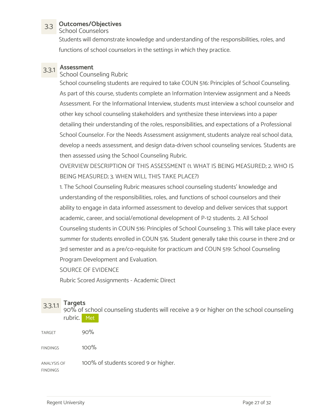## 3.3 Outcomes/Objectives

School Counselors

Students will demonstrate knowledge and understanding of the responsibilities, roles, and functions of school counselors in the settings in which they practice.

# 3.3.1 Assessment

### School Counseling Rubric

School counseling students are required to take COUN 516: Principles of School Counseling. As part of this course, students complete an Information Interview assignment and a Needs Assessment. For the Informational Interview, students must interview a school counselor and other key school counseling stakeholders and synthesize these interviews into a paper detailing their understanding of the roles, responsibilities, and expectations of a Professional School Counselor. For the Needs Assessment assignment, students analyze real school data, develop a needs assessment, and design data-driven school counseling services. Students are then assessed using the School Counseling Rubric.

OVERVIEW DESCRIPTION OF THIS ASSESSMENT (1. WHAT IS BEING MEASURED; 2. WHO IS BEING MEASURED; 3. WHEN WILL THIS TAKE PLACE?)

1. The School Counseling Rubric measures school counseling students' knowledge and understanding of the responsibilities, roles, and functions of school counselors and their ability to engage in data informed assessment to develop and deliver services that support academic, career, and social/emotional development of P-12 students. 2. All School Counseling students in COUN 516: Principles of School Counseling 3. This will take place every summer for students enrolled in COUN 516. Student generally take this course in there 2nd or 3rd semester and as a pre/co-requisite for practicum and COUN 519: School Counseling Program Development and Evaluation.

SOURCE OF EVIDENCE

Rubric Scored Assignments - Academic Direct

3.3.1.1 Targets 90% of school counseling students will receive a 9 or higher on the school counseling rubric. Met

| TARGET 90% |  |
|------------|--|
|            |  |

 $FINDINGS$  100%

ANALYSIS OF 100% of students scored 9 or higher. FINDINGS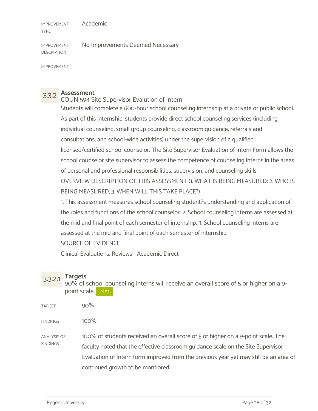IMPROVEMENT TYPE Academic

IMPROVEMENT No Improvements Deemed Necessary DESCRIPTION

IMPROVEMENT

3.3.2 Assessment COUN 594 Site Supervisor Evalution of Intern Students will complete a 600-hour school counseling internship at a private or public school. As part of this internship, students provide direct school counseling services (including individual counseling, small group counseling, classroom guidance, referrals and consultations, and school-wide activities) under the supervision of a qualified licensed/certified school counselor. The Site Supervisor Evaluation of Intern Form allows the school counselor site supervisor to assess the competence of counseling interns in the areas of personal and professional responsibilities, supervision, and counseling skills. OVERVIEW DESCRIPTION OF THIS ASSESSMENT (1. WHAT IS BEING MEASURED; 2. WHO IS BEING MEASURED; 3. WHEN WILL THIS TAKE PLACE?)

1. This assessment measures school counseling student?s understanding and application of the roles and functions of the school counselor. 2. School counseling interns are assessed at the mid and final point of each semester of internship. 3. School counseling interns are assessed at the mid and final point of each semester of internship.

### SOURCE OF EVIDENCE

Clinical Evaluations, Reviews - Academic Direct

3.3.2.1 Targets 90% of school counseling interns will receive an overall score of 5 or higher on a 9 point scale. Met

| <b>TARGET</b>      | $90\%$                                                                                |
|--------------------|---------------------------------------------------------------------------------------|
| <b>FINDINGS</b>    | $100\%$                                                                               |
| <b>ANALYSIS OF</b> | 100% of students received an overall score of 5 or higher on a 9-point scale. The     |
| FINDINGS           | faculty noted that the effective classroom quidance scale on the Site Supervisor      |
|                    | Evaluation of Intern form improved from the previous year yet may still be an area of |
|                    | continued growth to be montiored.                                                     |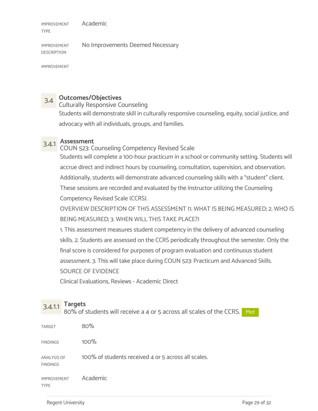IMPROVEMENT TYPE Academic

IMPROVEMENT No Improvements Deemed Necessary DESCRIPTION

IMPROVEMENT

# 3.4 Outcomes/Objectives

Culturally Responsive Counseling

Students will demonstrate skill in culturally responsive counseling, equity, social justice, and advocacy with all individuals, groups, and families.

3.4.1 Assessment COUN 523: Counseling Competency Revised Scale Students will complete a 100-hour practicum in a school or community setting. Students will accrue direct and indirect hours by counseling, consultation, supervision, and observation. Additionally, students will demonstrate advanced counseling skills with a "student" client. These sessions are recorded and evaluated by the instructor utilizing the Counseling Competency Revised Scale (CCRS).

OVERVIEW DESCRIPTION OF THIS ASSESSMENT (1. WHAT IS BEING MEASURED; 2. WHO IS BEING MEASURED; 3. WHEN WILL THIS TAKE PLACE?)

1. This assessment measures student competency in the delivery of advanced counseling skills. 2. Students are assessed on the CCRS periodically throughout the semester. Only the final score is considered for purposes of program evaluation and continuous student assessment. 3. This will take place during COUN 523: Practicum and Advanced Skills. SOURCE OF EVIDENCE

Clinical Evaluations, Reviews - Academic Direct

 $3.4.1.1$  Targets<br> $3.4.1.1$  Targets 80% of students will receive a 4 or 5 across all scales of the CCRS. Met

| TARGET                                | 80%                                                 |
|---------------------------------------|-----------------------------------------------------|
| <b>FINDINGS</b>                       | 100%                                                |
| <b>ANALYSIS OF</b><br><b>FINDINGS</b> | 100% of students received 4 or 5 across all scales. |
| <b>IMPROVEMENT</b><br><b>TYPE</b>     | Academic                                            |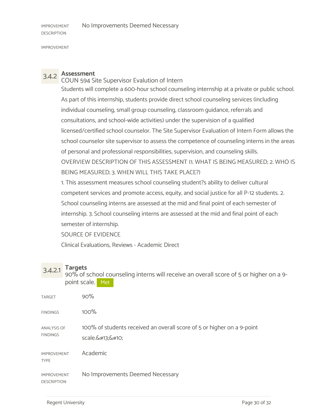IMPROVEMENT

3.4.2 Assessment COUN 594 Site Supervisor Evalution of Intern Students will complete a 600-hour school counseling internship at a private or public school. As part of this internship, students provide direct school counseling services (including individual counseling, small group counseling, classroom guidance, referrals and consultations, and school-wide activities) under the supervision of a qualified licensed/certified school counselor. The Site Supervisor Evaluation of Intern Form allows the school counselor site supervisor to assess the competence of counseling interns in the areas of personal and professional responsibilities, supervision, and counseling skills. OVERVIEW DESCRIPTION OF THIS ASSESSMENT (1. WHAT IS BEING MEASURED; 2. WHO IS BEING MEASURED; 3. WHEN WILL THIS TAKE PLACE?)

1. This assessment measures school counseling student?s ability to deliver cultural competent services and promote access, equity, and social justice for all P-12 students. 2. School counseling interns are assessed at the mid and final point of each semester of internship. 3. School counseling interns are assessed at the mid and final point of each semester of internship.

SOURCE OF EVIDENCE

Clinical Evaluations, Reviews - Academic Direct

3.4.2.1 Targets<br>90% of school counseling interns will receive an overall score of 5 or higher on a 9point scale. Met

| <b>TARGET</b>                            | 90%                                                                              |
|------------------------------------------|----------------------------------------------------------------------------------|
| <b>FINDINGS</b>                          | 100%                                                                             |
| <b>ANALYSIS OF</b><br><b>FINDINGS</b>    | 100% of students received an overall score of 5 or higher on a 9-point<br>scale. |
| <b>IMPROVEMENT</b><br><b>TYPE</b>        | Academic                                                                         |
| <b>IMPROVEMENT</b><br><b>DESCRIPTION</b> | No Improvements Deemed Necessary                                                 |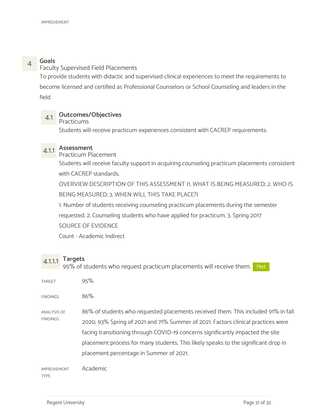4 **Goals**<br> **Example 28** Faculty Supervised Field Placements

To provide students with didactic and supervised clinical experiences to meet the requirements to become licensed and certified as Professional Counselors or School Counseling and leaders in the field.

## 4.1 Outcomes/Objectives

### Practicums

Students will receive practicum experiences consistent with CACREP requirements.

# 4.1.1 Assessment

Practicum Placement

Students will receive faculty support in acquiring counseling practicum placements consistent with CACREP standards.

OVERVIEW DESCRIPTION OF THIS ASSESSMENT (1. WHAT IS BEING MEASURED; 2. WHO IS BEING MEASURED; 3. WHEN WILL THIS TAKE PLACE?)

1. Number of students receiving counseling practicum placements during the semester

requested. 2. Counseling students who have applied for practicum. 3. Spring 2017 SOURCE OF EVIDENCE

Count - Academic Indirect

 $4.1.1.1$  Targets<br> $4.1.1.1$  Targets 95% of students who request practicum placements will receive them. Met

| <b>TARGET</b>                     | 95%                                                                                                                                                                                                                                                                                                                                                                                      |  |
|-----------------------------------|------------------------------------------------------------------------------------------------------------------------------------------------------------------------------------------------------------------------------------------------------------------------------------------------------------------------------------------------------------------------------------------|--|
| <b>FINDINGS</b>                   | 86%                                                                                                                                                                                                                                                                                                                                                                                      |  |
| ANALYSIS OF<br><b>FINDINGS</b>    | 86% of students who requested placements received them. This included 91% in fall<br>2020, 93% Spring of 2021 and 71% Summer of 2021. Factors clinical practices were<br>facing transitioning through COVID-19 concerns significantly impacted the site<br>placement process for many students. This likely speaks to the significant drop in<br>placement percentage in Summer of 2021. |  |
| <b>IMPROVEMENT</b><br><b>TYPE</b> | Academic                                                                                                                                                                                                                                                                                                                                                                                 |  |

Regent University **Page 31 of 32**